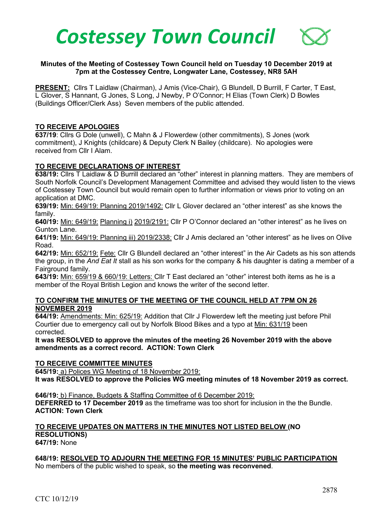

### **Minutes of the Meeting of Costessey Town Council held on Tuesday 10 December 2019 at 7pm at the Costessey Centre, Longwater Lane, Costessey, NR8 5AH**

PRESENT: Cllrs T Laidlaw (Chairman), J Amis (Vice-Chair), G Blundell, D Burrill, F Carter, T East. L Glover, S Hannant, G Jones, S Long, J Newby, P O'Connor; H Elias (Town Clerk) D Bowles (Buildings Officer/Clerk Ass) Seven members of the public attended.

#### **TO RECEIVE APOLOGIES**

**637/19**: Cllrs G Dole (unwell), C Mahn & J Flowerdew (other commitments), S Jones (work commitment), J Knights (childcare) & Deputy Clerk N Bailey (childcare). No apologies were received from Cllr I Alam.

#### **TO RECEIVE DECLARATIONS OF INTEREST**

**638/19:** Cllrs T Laidlaw & D Burrill declared an "other" interest in planning matters. They are members of South Norfolk Council's Development Management Committee and advised they would listen to the views of Costessey Town Council but would remain open to further information or views prior to voting on an application at DMC.

**639/19:** Min: 649/19: Planning 2019/1492: Cllr L Glover declared an "other interest" as she knows the family.

**640/19:** Min: 649/19: Planning i) 2019/2191: Cllr P O'Connor declared an "other interest" as he lives on Gunton Lane.

**641/19:** Min: 649/19: Planning iii) 2019/2338: Cllr J Amis declared an "other interest" as he lives on Olive Road.

**642/19:** Min: 652/19: Fete: Cllr G Blundell declared an "other interest" in the Air Cadets as his son attends the group, in the *And Eat It* stall as his son works for the company & his daughter is dating a member of a Fairground family.

**643/19:** Min: 659/19 & 660/19: Letters: Cllr T East declared an "other" interest both items as he is a member of the Royal British Legion and knows the writer of the second letter.

#### **TO CONFIRM THE MINUTES OF THE MEETING OF THE COUNCIL HELD AT 7PM ON 26 NOVEMBER 2019**

**644/19:** Amendments: Min: 625/19: Addition that Cllr J Flowerdew left the meeting just before Phil Courtier due to emergency call out by Norfolk Blood Bikes and a typo at Min: 631/19 been corrected.

**It was RESOLVED to approve the minutes of the meeting 26 November 2019 with the above amendments as a correct record. ACTION: Town Clerk**

#### **TO RECEIVE COMMITTEE MINUTES**

**645/19:** a) Polices WG Meeting of 18 November 2019:

**It was RESOLVED to approve the Policies WG meeting minutes of 18 November 2019 as correct.**

**646/19:** b) Finance, Budgets & Staffing Committee of 6 December 2019: **DEFERRED to 17 December 2019** as the timeframe was too short for inclusion in the the Bundle. **ACTION: Town Clerk**

# **TO RECEIVE UPDATES ON MATTERS IN THE MINUTES NOT LISTED BELOW (NO RESOLUTIONS)**

**647/19:** None

# **648/19: RESOLVED TO ADJOURN THE MEETING FOR 15 MINUTES' PUBLIC PARTICIPATION**

No members of the public wished to speak, so **the meeting was reconvened**.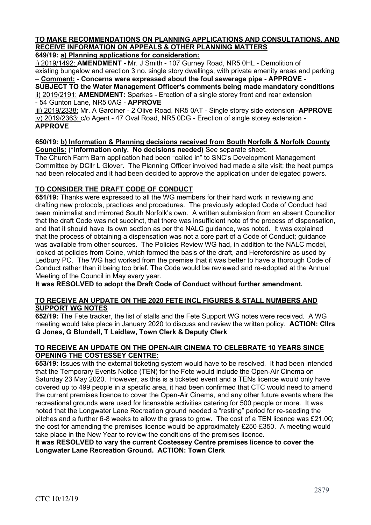# **TO MAKE RECOMMENDATIONS ON PLANNING APPLICATIONS AND CONSULTATIONS, AND RECEIVE INFORMATION ON APPEALS & OTHER PLANNING MATTERS**

# **649/19: a) Planning applications for consideration:**

i) 2019/1492: **AMENDMENT -** Mr. J Smith - 107 Gurney Road, NR5 0HL - Demolition of existing bungalow and erection 3 no. single story dwellings, with private amenity areas and parking – **Comment: - Concerns were expressed about the foul sewerage pipe - APPROVE -**

**SUBJECT TO the Water Management Officer's comments being made mandatory conditions** ii) 2019/2191: **AMENDMENT:** Sparkes - Erection of a single storey front and rear extension - 54 Gunton Lane, NR5 0AG - **APPROVE**

iii) 2019/2338: Mr. A Gardiner - 2 Olive Road, NR5 0AT - Single storey side extension -**APPROVE** iv) 2019/2363: c/o Agent - 47 Oval Road, NR5 0DG - Erection of single storey extension **- APPROVE**

#### **650/19: b) Information & Planning decisions received from South Norfolk & Norfolk County Councils: (\*Information only. No decisions needed)** See separate sheet.

The Church Farm Barn application had been "called in" to SNC's Development Management Committee by DCllr L Glover. The Planning Officer involved had made a site visit; the heat pumps had been relocated and it had been decided to approve the application under delegated powers.

# **TO CONSIDER THE DRAFT CODE OF CONDUCT**

**651/19:** Thanks were expressed to all the WG members for their hard work in reviewing and drafting new protocols, practices and procedures. The previously adopted Code of Conduct had been minimalist and mirrored South Norfolk's own. A written submission from an absent Councillor that the draft Code was not succinct, that there was insufficient note of the process of dispensation, and that it should have its own section as per the NALC guidance, was noted. It was explained that the process of obtaining a dispensation was not a core part of a Code of Conduct; guidance was available from other sources. The Policies Review WG had, in addition to the NALC model, looked at policies from Colne, which formed the basis of the draft, and Herefordshire as used by Ledbury PC. The WG had worked from the premise that it was better to have a thorough Code of Conduct rather than it being too brief. The Code would be reviewed and re-adopted at the Annual Meeting of the Council in May every year.

**It was RESOLVED to adopt the Draft Code of Conduct without further amendment.** 

### **TO RECEIVE AN UPDATE ON THE 2020 FETE INCL FIGURES & STALL NUMBERS AND SUPPORT WG NOTES**

**652/19:** The Fete tracker, the list of stalls and the Fete Support WG notes were received. A WG meeting would take place in January 2020 to discuss and review the written policy. **ACTION: Cllrs G Jones, G Blundell, T Laidlaw, Town Clerk & Deputy Clerk** 

### **TO RECEIVE AN UPDATE ON THE OPEN-AIR CINEMA TO CELEBRATE 10 YEARS SINCE OPENING THE COSTESSEY CENTRE:**

**653/19:** Issues with the external ticketing system would have to be resolved. It had been intended that the Temporary Events Notice (TEN) for the Fete would include the Open-Air Cinema on Saturday 23 May 2020. However, as this is a ticketed event and a TENs licence would only have covered up to 499 people in a specific area, it had been confirmed that CTC would need to amend the current premises licence to cover the Open-Air Cinema, and any other future events where the recreational grounds were used for licensable activities catering for 500 people or more. It was noted that the Longwater Lane Recreation ground needed a "resting" period for re-seeding the pitches and a further 6-8 weeks to allow the grass to grow. The cost of a TEN licence was £21.00; the cost for amending the premises licence would be approximately £250-£350. A meeting would take place in the New Year to review the conditions of the premises licence.

**It was RESOLVED to vary the current Costessey Centre premises licence to cover the Longwater Lane Recreation Ground. ACTION: Town Clerk**